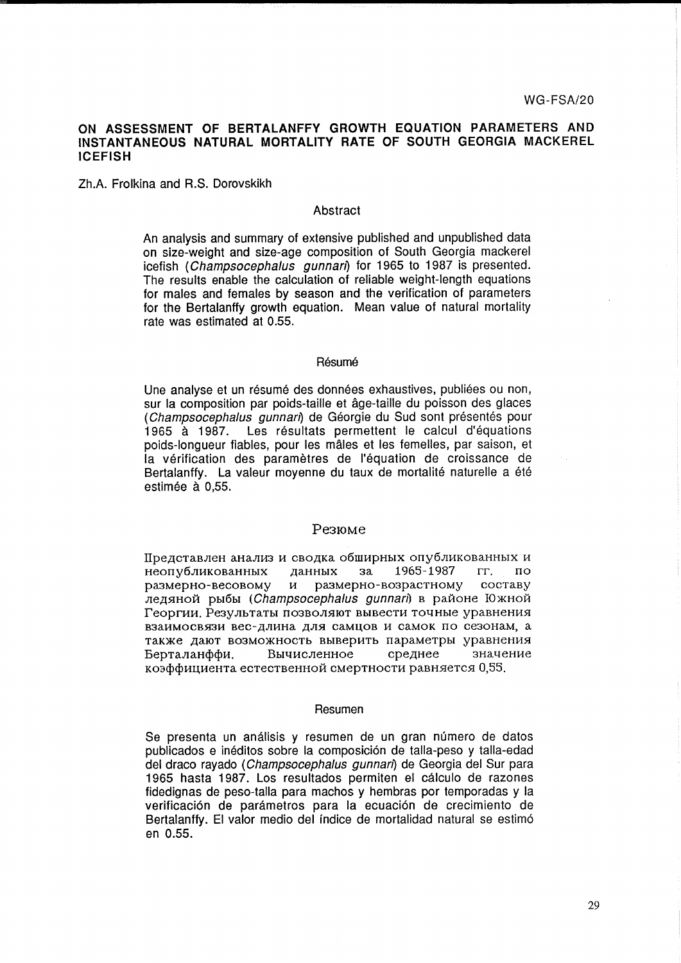# **ON ASSESSMENT OF BERTALANFFY GROWTH EQUATION PARAMETERS AND INSTANTANEOUS NATURAL MORTALITY RATE OF SOUTH GEORGIA MACKEREL ICEFISH**

Zh.A. Frolkina and R.S. Dorovskikh

# Abstract

An analysis and summary of extensive published and unpublished data on size-weight and size-age composition of South Georgia mackerel icefish (Champsocephalus gunnari) for 1965 to 1987 is presented. The results enable the calculation of reliable weight-length equations for males and females by season and the verification of parameters for the Bertalanffy growth equation. Mean value of natural mortality rate was estimated at 0.55.

## Résumé

Une analyse et un résumé des données exhaustives, publiées ou non, sur la composition par poids-taille et âge-taille du poisson des glaces (Champsocephalus gunnari) de Géorgie du Sud sont présentés pour 1965 à 1987. Les résultats permettent le calcul d'équations poids-Iongueur fiables, pour les males et les femelles, par saison, et la verification des parametres de I'equation de croissance de Bertalanffy. La valeur moyenne du taux de mortalité naturelle a été estimée à 0,55.

# Pe3IOMe

Представлен анализ и сводка обширных опубликованных и  $\overline{H}$ неопубликованных данных за 1965-1987 гг. по pa3MepHO-BecoBoMY VI pa3MepHO-Bo3pacTHoMY cocTaBY  $\overline{\lambda}$ ледяной рыбы (Champsocephalus gunnari) в районе Южной Георгии. Результаты позволяют вывести точные уравнения взаимосвязи вес-длина для самцов и самок по сезонам, а также дают возможность выверить параметры уравнения Берталанффи. Вычисленное среднее значение коэффициента естественной смертности равняется 0,55.

#### Resumen

Se presenta un análisis y resumen de un gran número de datos publicados e ineditos sobre la composicion de talla-peso y talla-edad del draco rayado (Champsocephalus gunnan) de Georgia del Sur para 1965 hasta 1987. Los resultados permiten el calculo de razones fidedignas de peso-talla para machos y hembras por temporadas y la verificación de parámetros para la ecuación de crecimiento de Bertalanffy. **El** valor medio del indice de mortalidad natural se estimo en 0.55.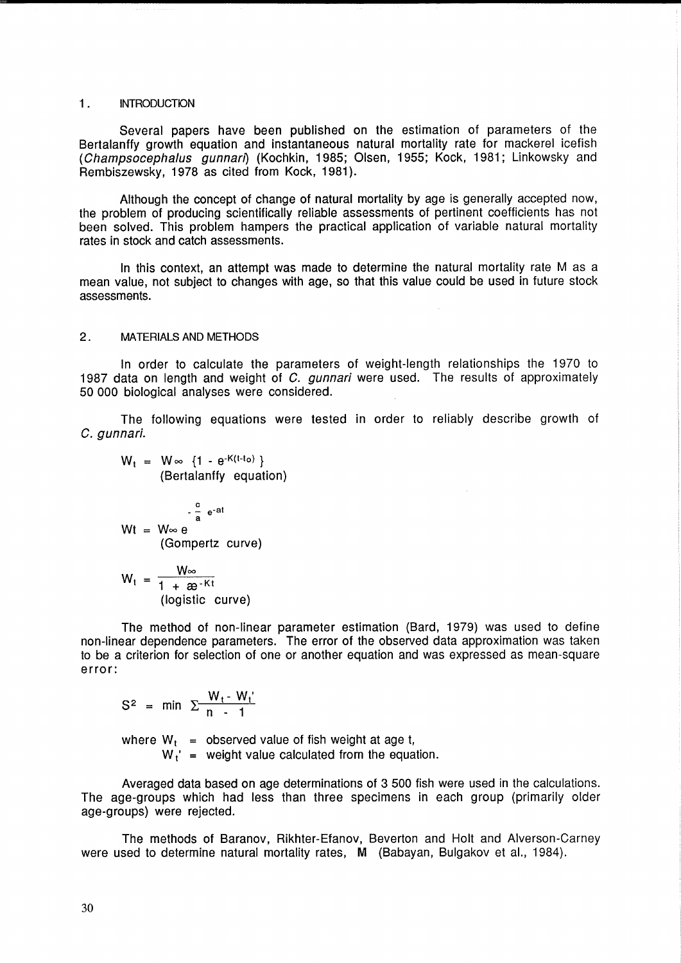#### 1. **INTRODUCTION**

Several papers have been published on the estimation of parameters of the Bertalanffy growth equation and instantaneous natural mortality rate for mackerel icefish (Champsocephalus gunnari) (Kochkin, 1985; Olsen, 1955; Kock, 1981; Linkowsky and Rembiszewsky, 1978 as cited from Kock, 1981).

Although the concept of change of natural mortality by age is generally accepted now, the problem of producing scientifically reliable assessments of pertinent coefficients has not been solved. This problem hampers the practical application of variable natural mortality rates in stock and catch assessments.

In this context, an attempt was made to determine the natural mortality rate M as a mean value, not subject to changes with age, so that this value could be used in future stock assessments.

## 2. MATERIALS AND METHODS

In order to calculate the parameters of weight-length relationships the 1970 to 1987 data on length and weight of C. gunnari were used. The results of approximately 50 000 biological analyses were considered.

The following equations were tested in order to reliably describe growth of C. gunnari.

 $W_t = W \in \{1 - e^{-K(t-t_0)}\}$ (Bertalanffy equation)

$$
Wt = W \otimes e
$$
  
 
$$
Wt = W \otimes e
$$
  
(Gompertz curve)

$$
W_t = \frac{W_{\infty}}{1 + \mathcal{B}^{-Kt}}
$$
  
(logistic curve)

The method of non-linear parameter estimation (Bard, 1979) was used to define non-linear dependence parameters. The error of the observed data approximation was taken to be a criterion for selection of one or another equation and was expressed as mean-square error:

$$
S^2 = \min \ \Sigma \frac{W_t - W_t'}{n - 1}
$$

where  $W_t$  = observed value of fish weight at age t,  $W_i'$  = weight value calculated from the equation.

Averaged data based on age determinations of 3 500 fish were used in the calculations. The age-groups which had less than three specimens in each group (primarily older age-groups) were rejected.

The methods of Baranov, Rikhter-Efanov, Beverton and Holt and Alverson-Carney were used to determine natural mortality rates, M (Babayan, Bulgakov et al., 1984).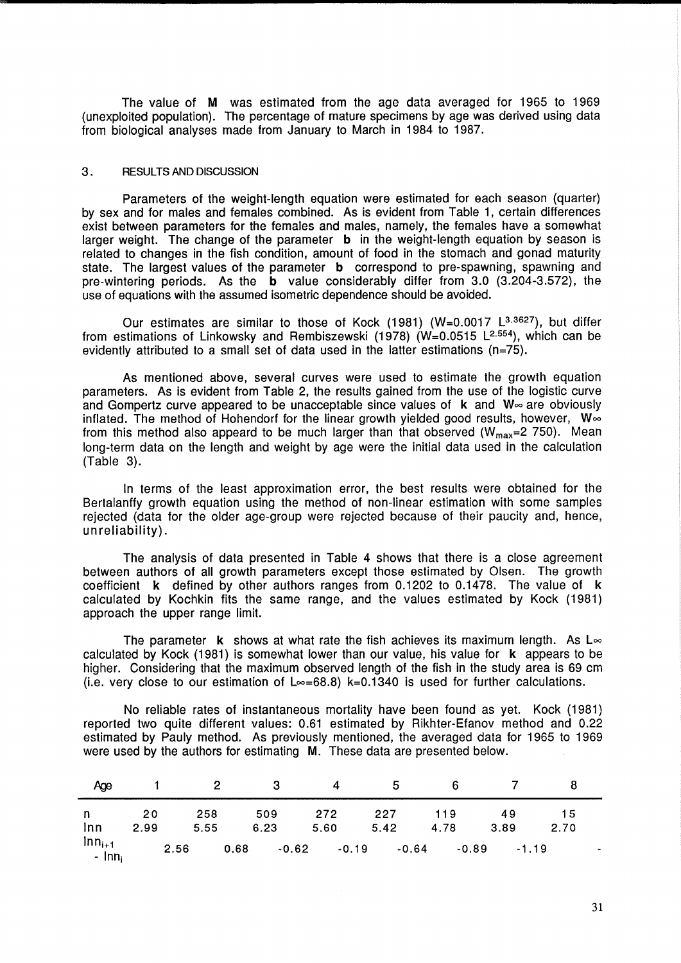The value of M was estimated from the age data averaged for 1965 to 1969 (unexploited population). The percentage of mature specimens by age was derived using data from biological analyses made from January to March in 1984 to 1987.

# 3. RESULTS AND DISCUSSION

Parameters of the weight-length equation were estimated for each season (quarter) by sex and for males and females combined. As is evident from Table 1, certain differences exist between parameters for the females and males, namely, the females have a somewhat larger weight. The change of the parameter **b** in the weight-length equation by season is related to changes in the fish condition, amount of food in the stomach and gonad maturity state. The largest values of the parameter **b** correspond to pre-spawning, spawning and pre-wintering periods. As the b value considerably differ from 3.0 (3.204-3.572), the use of equations with the assumed isometric dependence should be avoided.

Our estimates are similar to those of Kock  $(1981)$  (W=0.0017 L<sup>3.3627</sup>), but differ from estimations of Linkowsky and Rembiszewski (1978) (W=0.0515 L2.554), which can be evidently attributed to a small set of data used in the latter estimations (n=75).

As mentioned above, several curves were used to estimate the growth equation parameters. As is evident from Table 2, the results gained from the use of the logistic curve and Gompertz curve appeared to be unacceptable since values of  $k$  and  $W$  $\infty$  are obviously inflated. The method of Hohendorf for the linear growth yielded good results, however,  $W \infty$ from this method also appeard to be much larger than that observed ( $W_{\text{max}}$ =2 750). Mean long-term data on the length and weight by age were the initial data used in the calculation (Table 3).

In terms of the least approximation error, the best results were obtained for the Bertalanffy growth equation using the method of non-linear estimation with some samples rejected (data for the older age-group were rejected because of their paucity and, hence, unreliability) .

The analysis of data presented in Table 4 shows that there is a close agreement between authors of all growth parameters except those estimated by Olsen. The growth coefficient k defined by other authors ranges from 0.1202 to 0.1478. The value of k calculated by Kochkin fits the same range, and the values estimated by Kock (1981) approach the upper range limit.

The parameter **k** shows at what rate the fish achieves its maximum length. As  $\mathsf{L}\infty$ calculated by Kock (1981) is somewhat lower than our value, his value for k appears to be higher. Considering that the maximum observed length of the fish in the study area is 69 cm (i.e. very close to our estimation of  $L \infty = 68.8$ ) k=0.1340 is used for further calculations.

No reliable rates of instantaneous mortality have been found as yet. Kock (1981) reported two quite different values: 0.61 estimated by Rikhter-Efanov method and 0.22 estimated by Pauly method. As previously mentioned, the averaged data for 1965 to 1969 were used by the authors for estimating M. These data are presented below.

| Age                                         |            | $\sim$ 2    | 3           |         | 4           | -5          | - 6         |            |            |   |
|---------------------------------------------|------------|-------------|-------------|---------|-------------|-------------|-------------|------------|------------|---|
| $\mathsf{n}$<br>lnn                         | 20<br>2.99 | 258<br>5.55 | 509<br>6.23 |         | 272<br>5.60 | 227<br>5.42 | 119<br>4.78 | 49<br>3.89 | 15<br>2.70 |   |
| $\frac{\mathsf{Inn}_{i+1}}{\mathsf{Inn}_i}$ |            | 2.56        | 0.68        | $-0.62$ | $-0.19$     | $-0.64$     | $-0.89$     | $-1.19$    |            | ٠ |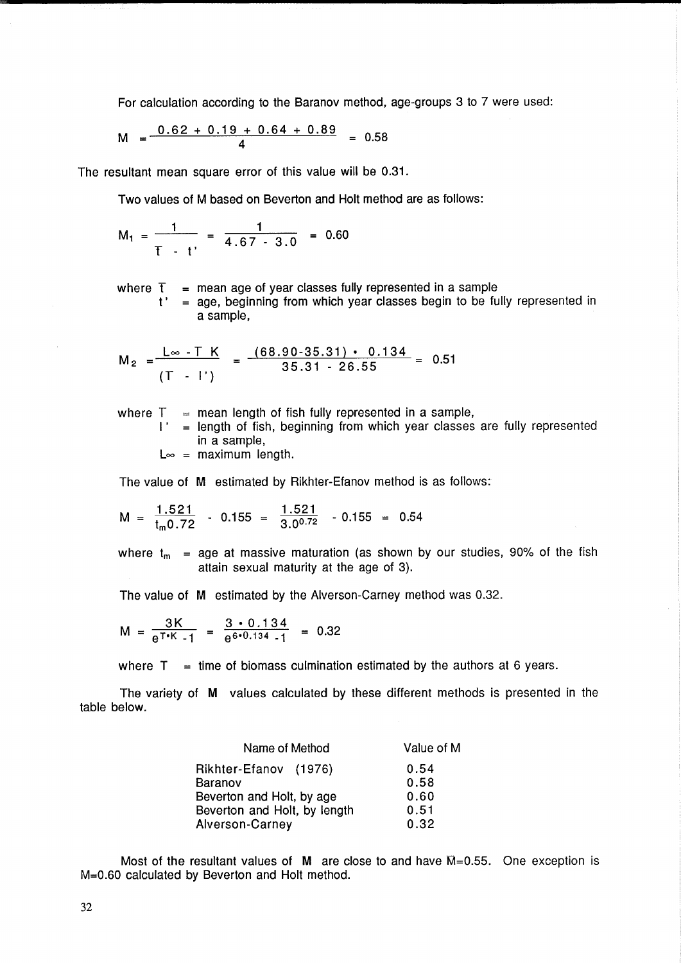For calculation according to the Baranov method, age-groups 3 to 7 were used:

$$
M = \frac{0.62 + 0.19 + 0.64 + 0.89}{4} = 0.58
$$

The resultant mean square error of this value will be 0.31.

Two values of M based on Beverton and Holt method are as follows:

$$
M_1 = \frac{1}{T - t'} = \frac{1}{4.67 - 3.0} = 0.60
$$

where  $\bar{\textbf{t}}$  = mean age of year classes fully represented in a sample

t' age, beginning from which year classes begin to be fully represented in a sample,

$$
M_2 = \frac{L_{\infty} - T K}{(T - I')} = \frac{(68.90 - 35.31) \cdot 0.134}{35.31 - 26.55} = 0.51
$$

where  $T =$  mean length of fish fully represented in a sample,

 $I'$  = length of fish, beginning from which year classes are fully represented in a sample,

 $L_{\infty}$  = maximum length.

The value of M estimated by Rikhter-Efanov method is as follows:  
\n
$$
M = \frac{1.521}{t_m 0.72} - 0.155 = \frac{1.521}{3.0072} - 0.155 = 0.54
$$

where  $t_m$  = age at massive maturation (as shown by our studies, 90% of the fish attain sexual maturity at the age of 3).

The value of M estimated by the Alverson-Carney method was 0.32.

$$
M = \frac{3K}{e^{T*K} - 1} = \frac{3 \cdot 0.134}{e^{6 \cdot 0.134} - 1} = 0.32
$$

where  $T =$  time of biomass culmination estimated by the authors at 6 years.

The variety of M values calculated by these different methods is presented in the table below.

| Name of Method               | Value of M |
|------------------------------|------------|
| Rikhter-Efanov (1976)        | 0.54       |
| Baranov                      | 0.58       |
| Beverton and Holt, by age    | 0.60       |
| Beverton and Holt, by length | 0.51       |
| Alverson-Carney              | 0.32       |

Most of the resultant values of M are close to and have  $\overline{M}=0.55$ . One exception is M=0.60 calculated by Beverton and Holt method.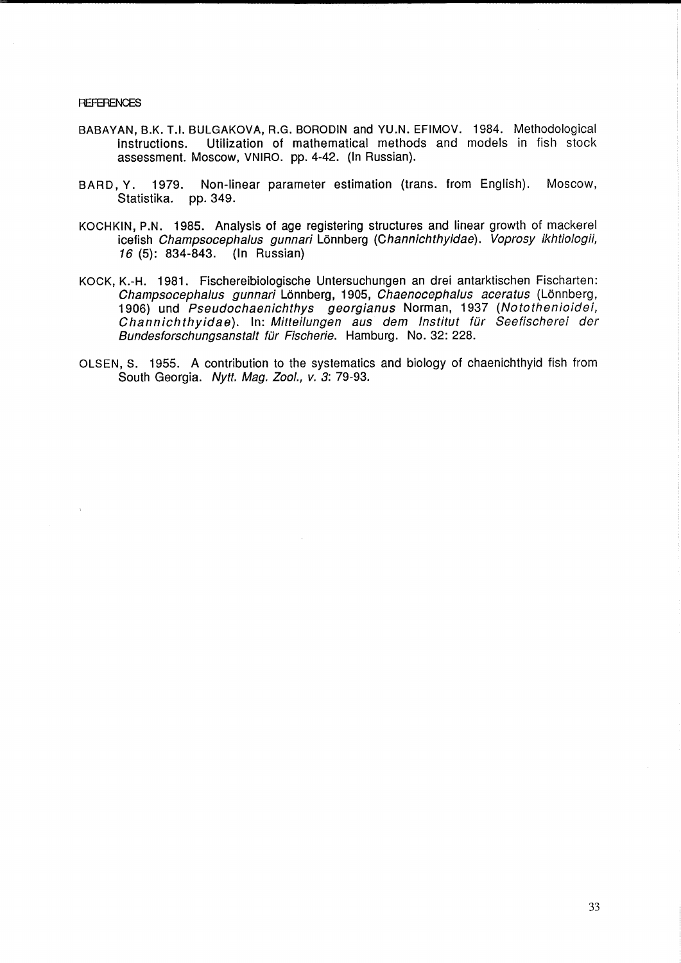**REFERENCES** 

- BABAVAN, B.K. T.I. BULGAKOVA, R.G. BORODIN and VU.N. EFIMOV. 1984. Methodological instructions. Utilization of mathematical methods and models in fish stock assessment. Moscow, VNIRO. pp. 4-42. (In Russian).
- BARD, V. 1979. Non-linear parameter estimation (trans. from English). Moscow, Statistika. pp. 349.
- KOCHKIN, P.N. 1985. Analysis of age registering structures and linear growth of mackerel icefish Champsocephalus gunnari Lönnberg (Channichthyidae). Voprosy ikhtiologii, 16 (5): 834-843. (In Russian)
- KOCK, K.-H. 1981. Fischereibiologische Untersuchungen an drei antarktischen Fischarten: Champsocephalus gunnari Lönnberg, 1905, Chaenocephalus aceratus (Lönnberg, 1906) und Pseudochaenichthys georgianus Norman, 1937 (Notothenioidei, Channichthyidae). In: Mitteilungen aus dem Institut für Seefischerei der Bundesforschungsanstalt für Fischerie. Hamburg. No. 32: 228.
- OLSEN, S. 1955. A contribution to the systematics and biology of chaenichthyid fish from South Georgia. Nytt. Mag. Zool., v. 3: 79-93.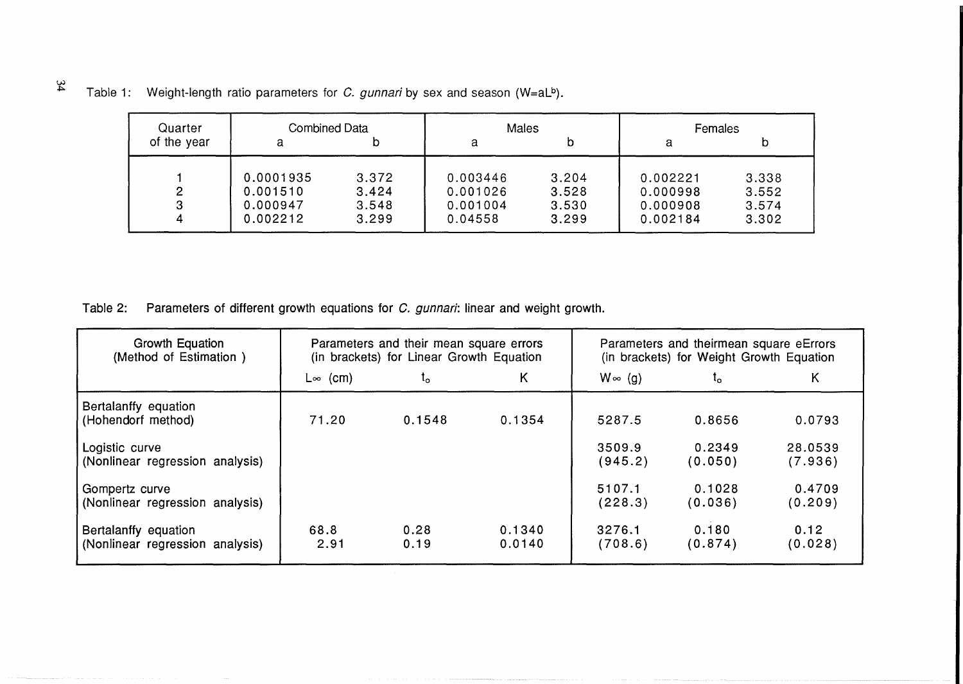| Quarter     | <b>Combined Data</b> |       | <b>Males</b> |       | Females  |       |  |
|-------------|----------------------|-------|--------------|-------|----------|-------|--|
| of the year | а                    |       | а            | D     | a        | b     |  |
|             |                      |       |              |       |          |       |  |
|             | 0.0001935            | 3.372 | 0.003446     | 3.204 | 0.002221 | 3.338 |  |
| 2           | 0.001510             | 3.424 | 0.001026     | 3.528 | 0.000998 | 3.552 |  |
|             | 0.000947             | 3.548 | 0.001004     | 3.530 | 0.000908 | 3.574 |  |
| Δ           | 0.002212             | 3.299 | 0.04558      | 3.299 | 0.002184 | 3.302 |  |

|  |  | Table 1: Weight-length ratio parameters for C. gunnari by sex and season (W=aLb). |  |  |  |  |  |  |  |
|--|--|-----------------------------------------------------------------------------------|--|--|--|--|--|--|--|
|--|--|-----------------------------------------------------------------------------------|--|--|--|--|--|--|--|

Table 2: Parameters of different growth equations for C. gunnari: linear and weight growth.

| Growth Equation<br>(Method of Estimation)               |                 | Parameters and their mean square errors<br>(in brackets) for Linear Growth Equation |                  | Parameters and theirmean square eErrors<br>(in brackets) for Weight Growth Equation |                   |                    |  |
|---------------------------------------------------------|-----------------|-------------------------------------------------------------------------------------|------------------|-------------------------------------------------------------------------------------|-------------------|--------------------|--|
|                                                         | $L \infty$ (cm) | t.                                                                                  | Κ                | $W \in (g)$                                                                         | ι٥                | Κ                  |  |
| Bertalanffy equation<br>(Hohendorf method)              | 71.20           | 0.1548                                                                              | 0.1354           | 5287.5                                                                              | 0.8656            | 0.0793             |  |
| Logistic curve<br>(Nonlinear regression analysis)       |                 |                                                                                     |                  | 3509.9<br>(945.2)                                                                   | 0.2349<br>(0.050) | 28.0539<br>(7.936) |  |
| Gompertz curve<br>(Nonlinear regression analysis)       |                 |                                                                                     |                  | 5107.1<br>(228.3)                                                                   | 0.1028<br>(0.036) | 0.4709<br>(0.209)  |  |
| Bertalanffy equation<br>(Nonlinear regression analysis) | 68.8<br>2.91    | 0.28<br>0.19                                                                        | 0.1340<br>0.0140 | 3276.1<br>(708.6)                                                                   | 0.180<br>(0.874)  | 0.12<br>(0.028)    |  |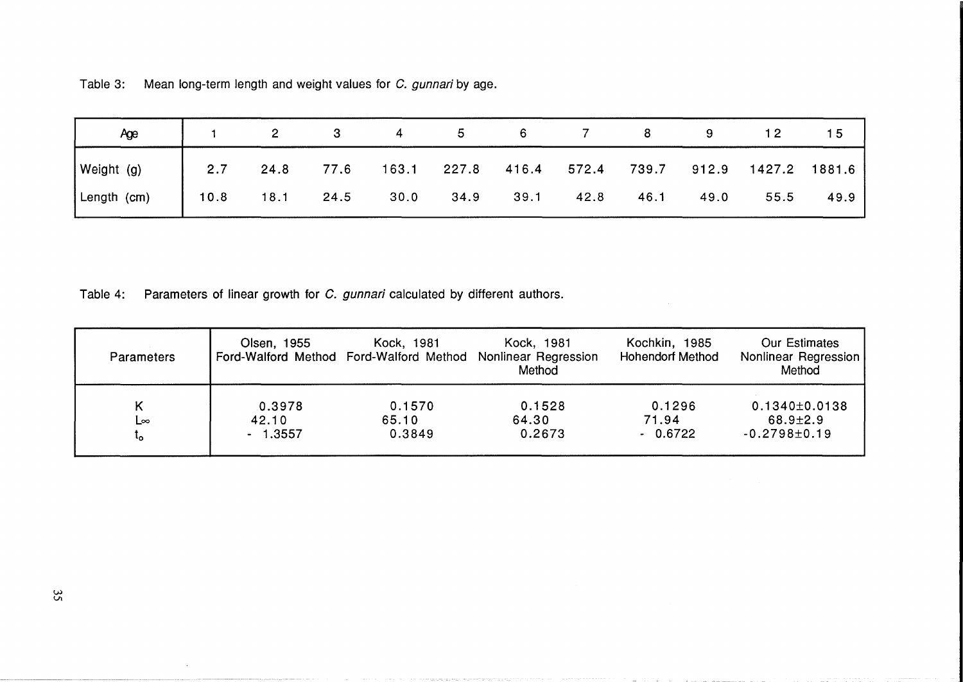Table 3: Mean long-term length and weight values for C. gunnari by age.

| Age         |      |      |      |             | 5.   | 6    |             |      |      |                           | 5 ו  |
|-------------|------|------|------|-------------|------|------|-------------|------|------|---------------------------|------|
| Weight (g)  | 2.7  | 24.8 | 77.6 | 163.1 227.8 |      |      | 416.4 572.4 |      |      | 739.7 912.9 1427.2 1881.6 |      |
| Length (cm) | 10.8 | 18.1 | 24.5 | 30.0        | 34.9 | 39.1 | 42.8        | 46.1 | 49.0 | 55.5                      | 49.9 |

Table 4: Parameters of linear growth for C. gunnari calculated by different authors.

| <b>Parameters</b> | Olsen, 1955 | Kock, 1981 | Kock, 1981<br>Ford-Walford Method Ford-Walford Method Nonlinear Regression<br>Method | Kochkin, 1985<br><b>Hohendorf Method</b> | <b>Our Estimates</b><br>Nonlinear Regression<br>Method |
|-------------------|-------------|------------|--------------------------------------------------------------------------------------|------------------------------------------|--------------------------------------------------------|
| Κ                 | 0.3978      | 0.1570     | 0.1528                                                                               | 0.1296                                   | $0.1340 \pm 0.0138$                                    |
| L∞                | 42.10       | 65.10      | 64.30                                                                                | 71.94                                    | $68.9 \pm 2.9$                                         |
| ٠o                | $-1.3557$   | 0.3849     | 0.2673                                                                               | $-0.6722$                                | $-0.2798 \pm 0.19$                                     |